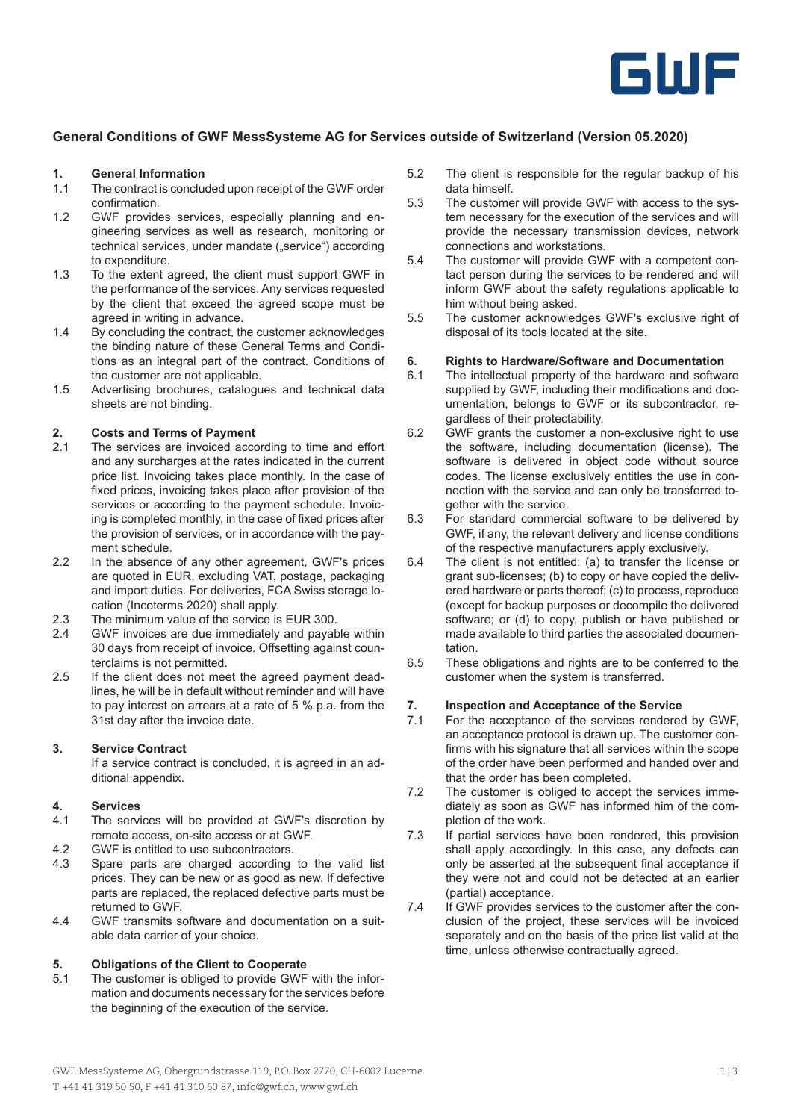

### **General Conditions of GWF MessSysteme AG for Services outside of Switzerland (Version 05.2020)**

### **1. General Information**

- The contract is concluded upon receipt of the GWF order confirmation.
- 1.2 GWF provides services, especially planning and engineering services as well as research, monitoring or technical services, under mandate ("service") according to expenditure.
- 1.3 To the extent agreed, the client must support GWF in the performance of the services. Any services requested by the client that exceed the agreed scope must be agreed in writing in advance.
- 1.4 By concluding the contract, the customer acknowledges the binding nature of these General Terms and Conditions as an integral part of the contract. Conditions of the customer are not applicable.
- 1.5 Advertising brochures, catalogues and technical data sheets are not binding.

# **2. Costs and Terms of Payment**

- The services are invoiced according to time and effort and any surcharges at the rates indicated in the current price list. Invoicing takes place monthly. In the case of fixed prices, invoicing takes place after provision of the services or according to the payment schedule. Invoicing is completed monthly, in the case of fixed prices after the provision of services, or in accordance with the payment schedule.
- 2.2 In the absence of any other agreement, GWF's prices are quoted in EUR, excluding VAT, postage, packaging and import duties. For deliveries, FCA Swiss storage location (Incoterms 2020) shall apply.
- 2.3 The minimum value of the service is EUR 300.
- 2.4 GWF invoices are due immediately and payable within 30 days from receipt of invoice. Offsetting against counterclaims is not permitted.
- 2.5 If the client does not meet the agreed payment deadlines, he will be in default without reminder and will have to pay interest on arrears at a rate of 5 % p.a. from the 31st day after the invoice date.

#### **3. Service Contract**

If a service contract is concluded, it is agreed in an additional appendix.

#### **4. Services**

- 4.1 The services will be provided at GWF's discretion by remote access, on-site access or at GWF.
- 4.2 GWF is entitled to use subcontractors.
- 4.3 Spare parts are charged according to the valid list prices. They can be new or as good as new. If defective parts are replaced, the replaced defective parts must be returned to GWF.
- 4.4 GWF transmits software and documentation on a suitable data carrier of your choice.

### **5. Obligations of the Client to Cooperate**

5.1 The customer is obliged to provide GWF with the information and documents necessary for the services before the beginning of the execution of the service.

- 5.2 The client is responsible for the regular backup of his data himself.
- 5.3 The customer will provide GWF with access to the system necessary for the execution of the services and will provide the necessary transmission devices, network connections and workstations.
- 5.4 The customer will provide GWF with a competent contact person during the services to be rendered and will inform GWF about the safety regulations applicable to him without being asked.
- 5.5 The customer acknowledges GWF's exclusive right of disposal of its tools located at the site.

### **6. Rights to Hardware/Software and Documentation**

- 6.1 The intellectual property of the hardware and software supplied by GWF, including their modifications and documentation, belongs to GWF or its subcontractor, regardless of their protectability.
- 6.2 GWF grants the customer a non-exclusive right to use the software, including documentation (license). The software is delivered in object code without source codes. The license exclusively entitles the use in connection with the service and can only be transferred together with the service.
- 6.3 For standard commercial software to be delivered by GWF, if any, the relevant delivery and license conditions of the respective manufacturers apply exclusively.
- 6.4 The client is not entitled: (a) to transfer the license or grant sub-licenses; (b) to copy or have copied the delivered hardware or parts thereof; (c) to process, reproduce (except for backup purposes or decompile the delivered software; or (d) to copy, publish or have published or made available to third parties the associated documentation.
- 6.5 These obligations and rights are to be conferred to the customer when the system is transferred.

# **7. Inspection and Acceptance of the Service**

- For the acceptance of the services rendered by GWF, an acceptance protocol is drawn up. The customer confirms with his signature that all services within the scope of the order have been performed and handed over and that the order has been completed.
- 7.2 The customer is obliged to accept the services immediately as soon as GWF has informed him of the completion of the work.
- 7.3 If partial services have been rendered, this provision shall apply accordingly. In this case, any defects can only be asserted at the subsequent final acceptance if they were not and could not be detected at an earlier (partial) acceptance.
- 7.4 If GWF provides services to the customer after the conclusion of the project, these services will be invoiced separately and on the basis of the price list valid at the time, unless otherwise contractually agreed.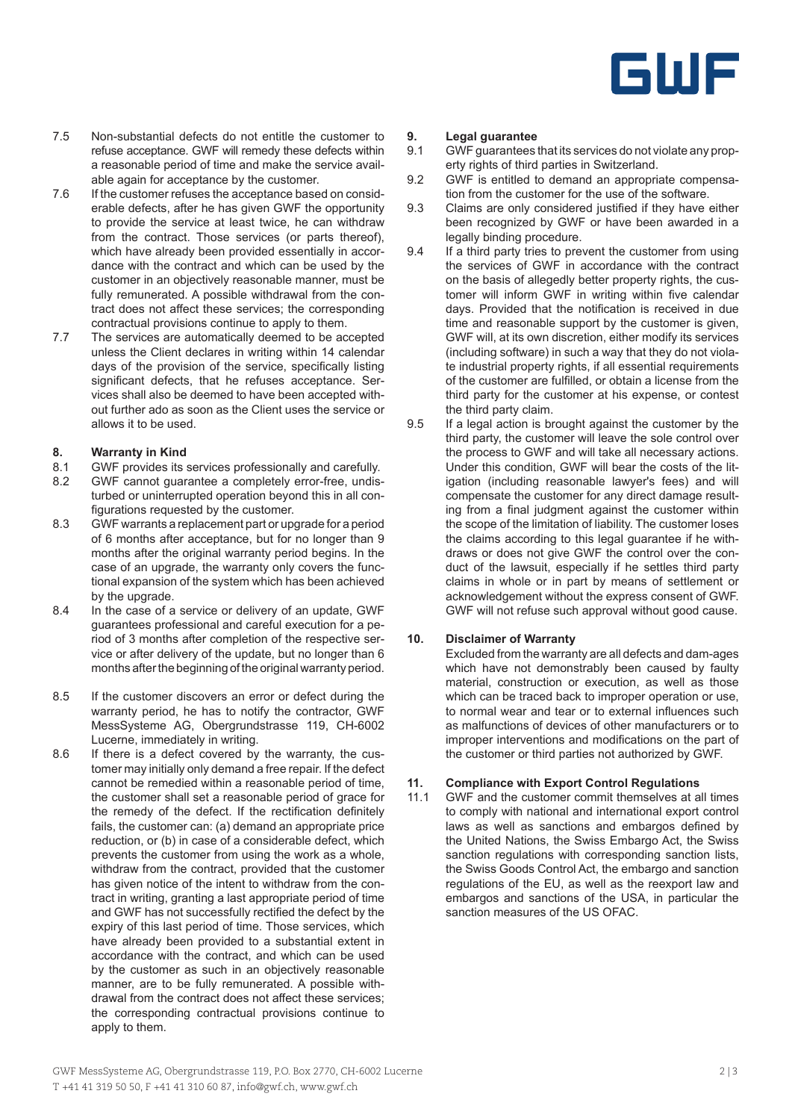

- 7.5 Non-substantial defects do not entitle the customer to refuse acceptance. GWF will remedy these defects within a reasonable period of time and make the service available again for acceptance by the customer.
- 7.6 If the customer refuses the acceptance based on considerable defects, after he has given GWF the opportunity to provide the service at least twice, he can withdraw from the contract. Those services (or parts thereof), which have already been provided essentially in accordance with the contract and which can be used by the customer in an objectively reasonable manner, must be fully remunerated. A possible withdrawal from the contract does not affect these services; the corresponding contractual provisions continue to apply to them.
- 7.7 The services are automatically deemed to be accepted unless the Client declares in writing within 14 calendar days of the provision of the service, specifically listing significant defects, that he refuses acceptance. Services shall also be deemed to have been accepted without further ado as soon as the Client uses the service or allows it to be used.

### **8. Warranty in Kind**<br>8.1 **GWF** provides its s

- GWF provides its services professionally and carefully.
- 8.2 GWF cannot guarantee a completely error-free, undisturbed or uninterrupted operation beyond this in all configurations requested by the customer.
- 8.3 GWF warrants a replacement part or upgrade for a period of 6 months after acceptance, but for no longer than 9 months after the original warranty period begins. In the case of an upgrade, the warranty only covers the functional expansion of the system which has been achieved by the upgrade.
- 8.4 In the case of a service or delivery of an update, GWF guarantees professional and careful execution for a period of 3 months after completion of the respective service or after delivery of the update, but no longer than 6 months after the beginning of the original warranty period.
- 8.5 If the customer discovers an error or defect during the warranty period, he has to notify the contractor, GWF MessSysteme AG, Obergrundstrasse 119, CH-6002 Lucerne, immediately in writing.
- 8.6 If there is a defect covered by the warranty, the customer may initially only demand a free repair. If the defect cannot be remedied within a reasonable period of time, the customer shall set a reasonable period of grace for the remedy of the defect. If the rectification definitely fails, the customer can: (a) demand an appropriate price reduction, or (b) in case of a considerable defect, which prevents the customer from using the work as a whole, withdraw from the contract, provided that the customer has given notice of the intent to withdraw from the contract in writing, granting a last appropriate period of time and GWF has not successfully rectified the defect by the expiry of this last period of time. Those services, which have already been provided to a substantial extent in accordance with the contract, and which can be used by the customer as such in an objectively reasonable manner, are to be fully remunerated. A possible withdrawal from the contract does not affect these services; the corresponding contractual provisions continue to apply to them.

### **9. Legal guarantee**

- GWF guarantees that its services do not violate any property rights of third parties in Switzerland.
- 9.2 GWF is entitled to demand an appropriate compensation from the customer for the use of the software.
- 9.3 Claims are only considered justified if they have either been recognized by GWF or have been awarded in a legally binding procedure.
- 9.4 If a third party tries to prevent the customer from using the services of GWF in accordance with the contract on the basis of allegedly better property rights, the customer will inform GWF in writing within five calendar days. Provided that the notification is received in due time and reasonable support by the customer is given, GWF will, at its own discretion, either modify its services (including software) in such a way that they do not violate industrial property rights, if all essential requirements of the customer are fulfilled, or obtain a license from the third party for the customer at his expense, or contest the third party claim.
- 9.5 If a legal action is brought against the customer by the third party, the customer will leave the sole control over the process to GWF and will take all necessary actions. Under this condition, GWF will bear the costs of the litigation (including reasonable lawyer's fees) and will compensate the customer for any direct damage resulting from a final judgment against the customer within the scope of the limitation of liability. The customer loses the claims according to this legal guarantee if he withdraws or does not give GWF the control over the conduct of the lawsuit, especially if he settles third party claims in whole or in part by means of settlement or acknowledgement without the express consent of GWF. GWF will not refuse such approval without good cause.

### **10. Disclaimer of Warranty**

Excluded from the warranty are all defects and dam-ages which have not demonstrably been caused by faulty material, construction or execution, as well as those which can be traced back to improper operation or use, to normal wear and tear or to external influences such as malfunctions of devices of other manufacturers or to improper interventions and modifications on the part of the customer or third parties not authorized by GWF.

### **11. Compliance with Export Control Regulations**

11.1 GWF and the customer commit themselves at all times to comply with national and international export control laws as well as sanctions and embargos defined by the United Nations, the Swiss Embargo Act, the Swiss sanction regulations with corresponding sanction lists. the Swiss Goods Control Act, the embargo and sanction regulations of the EU, as well as the reexport law and embargos and sanctions of the USA, in particular the sanction measures of the US OFAC.